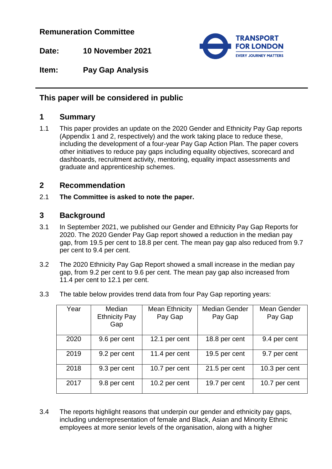## **Remuneration Committee**

**Date: 10 November 2021**



**Item: Pay Gap Analysis**

# **This paper will be considered in public**

# **1 Summary**

1.1 This paper provides an update on the 2020 Gender and Ethnicity Pay Gap reports (Appendix 1 and 2, respectively) and the work taking place to reduce these, including the development of a four-year Pay Gap Action Plan. The paper covers other initiatives to reduce pay gaps including equality objectives, scorecard and dashboards, recruitment activity, mentoring, equality impact assessments and graduate and apprenticeship schemes.

# **2 Recommendation**

2.1 **The Committee is asked to note the paper.**

# **3 Background**

- 3.1 In September 2021, we published our Gender and Ethnicity Pay Gap Reports for 2020. The 2020 Gender Pay Gap report showed a reduction in the median pay gap, from 19.5 per cent to 18.8 per cent. The mean pay gap also reduced from 9.7 per cent to 9.4 per cent.
- 3.2 The 2020 Ethnicity Pay Gap Report showed a small increase in the median pay gap, from 9.2 per cent to 9.6 per cent. The mean pay gap also increased from 11.4 per cent to 12.1 per cent.
- 3.3 The table below provides trend data from four Pay Gap reporting years:

| Year | Median<br><b>Ethnicity Pay</b><br>Gap | <b>Mean Ethnicity</b><br>Pay Gap | <b>Median Gender</b><br>Pay Gap | Mean Gender<br>Pay Gap |
|------|---------------------------------------|----------------------------------|---------------------------------|------------------------|
| 2020 | 9.6 per cent                          | 12.1 per cent                    | 18.8 per cent                   | 9.4 per cent           |
| 2019 | 9.2 per cent                          | 11.4 per cent                    | 19.5 per cent                   | 9.7 per cent           |
| 2018 | 9.3 per cent                          | 10.7 per cent                    | 21.5 per cent                   | 10.3 per cent          |
| 2017 | 9.8 per cent                          | 10.2 per cent                    | 19.7 per cent                   | 10.7 per cent          |

3.4 The reports highlight reasons that underpin our gender and ethnicity pay gaps, including underrepresentation of female and Black, Asian and Minority Ethnic employees at more senior levels of the organisation, along with a higher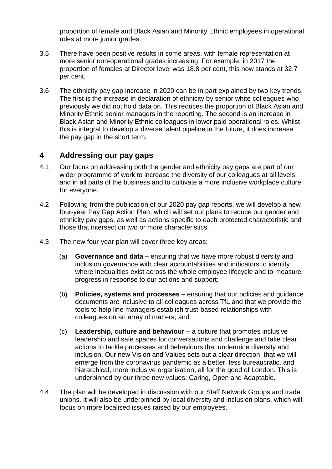proportion of female and Black Asian and Minority Ethnic employees in operational roles at more junior grades.

- 3.5 There have been positive results in some areas, with female representation at more senior non-operational grades increasing. For example, in 2017 the proportion of females at Director level was 18.8 per cent, this now stands at 32.7 per cent.
- 3.6 The ethnicity pay gap increase in 2020 can be in part explained by two key trends. The first is the increase in declaration of ethnicity by senior white colleagues who previously we did not hold data on. This reduces the proportion of Black Asian and Minority Ethnic senior managers in the reporting. The second is an increase in Black Asian and Minority Ethnic colleagues in lower paid operational roles. Whilst this is integral to develop a diverse talent pipeline in the future, it does increase the pay gap in the short term.

## **4 Addressing our pay gaps**

- 4.1 Our focus on addressing both the gender and ethnicity pay gaps are part of our wider programme of work to increase the diversity of our colleagues at all levels and in all parts of the business and to cultivate a more inclusive workplace culture for everyone.
- 4.2 Following from the publication of our 2020 pay gap reports, we will develop a new four-year Pay Gap Action Plan, which will set out plans to reduce our gender and ethnicity pay gaps, as well as actions specific to each protected characteristic and those that intersect on two or more characteristics.
- 4.3 The new four-year plan will cover three key areas:
	- (a) **Governance and data –** ensuring that we have more robust diversity and inclusion governance with clear accountabilities and indicators to identify where inequalities exist across the whole employee lifecycle and to measure progress in response to our actions and support;
	- (b) **Policies, systems and processes –** ensuring that our policies and guidance documents are inclusive to all colleagues across TfL and that we provide the tools to help line managers establish trust-based relationships with colleagues on an array of matters; and
	- (c) **Leadership, culture and behaviour –** a culture that promotes inclusive leadership and safe spaces for conversations and challenge and take clear actions to tackle processes and behaviours that undermine diversity and inclusion. Our new Vision and Values sets out a clear direction; that we will emerge from the coronavirus pandemic as a better, less bureaucratic, and hierarchical, more inclusive organisation, all for the good of London. This is underpinned by our three new values: Caring, Open and Adaptable.
- 4.4 The plan will be developed in discussion with our Staff Network Groups and trade unions. It will also be underpinned by local diversity and inclusion plans, which will focus on more localised issues raised by our employees.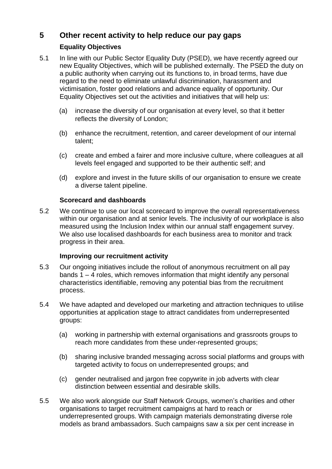# **5 Other recent activity to help reduce our pay gaps**

### **Equality Objectives**

- 5.1 In line with our Public Sector Equality Duty (PSED), we have recently agreed our new Equality Objectives, which will be published externally. The PSED the duty on a public authority when carrying out its functions to, in broad terms, have due regard to the need to eliminate unlawful discrimination, harassment and victimisation, foster good relations and advance equality of opportunity. Our Equality Objectives set out the activities and initiatives that will help us:
	- (a) increase the diversity of our organisation at every level, so that it better reflects the diversity of London;
	- (b) enhance the recruitment, retention, and career development of our internal talent;
	- (c) create and embed a fairer and more inclusive culture, where colleagues at all levels feel engaged and supported to be their authentic self; and
	- (d) explore and invest in the future skills of our organisation to ensure we create a diverse talent pipeline.

### **Scorecard and dashboards**

5.2 We continue to use our local scorecard to improve the overall representativeness within our organisation and at senior levels. The inclusivity of our workplace is also measured using the Inclusion Index within our annual staff engagement survey. We also use localised dashboards for each business area to monitor and track progress in their area.

### **Improving our recruitment activity**

- 5.3 Our ongoing initiatives include the rollout of anonymous recruitment on all pay bands 1 – 4 roles, which removes information that might identify any personal characteristics identifiable, removing any potential bias from the recruitment process.
- 5.4 We have adapted and developed our marketing and attraction techniques to utilise opportunities at application stage to attract candidates from underrepresented groups:
	- (a) working in partnership with external organisations and grassroots groups to reach more candidates from these under-represented groups;
	- (b) sharing inclusive branded messaging across social platforms and groups with targeted activity to focus on underrepresented groups; and
	- (c) gender neutralised and jargon free copywrite in job adverts with clear distinction between essential and desirable skills.
- 5.5 We also work alongside our Staff Network Groups, women's charities and other organisations to target recruitment campaigns at hard to reach or underrepresented groups. With campaign materials demonstrating diverse role models as brand ambassadors. Such campaigns saw a six per cent increase in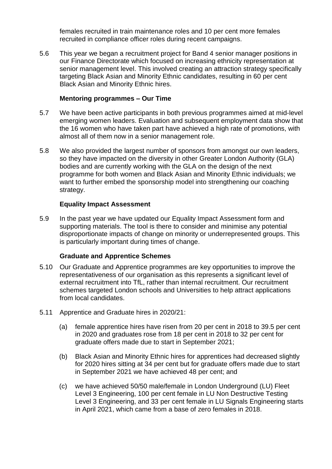females recruited in train maintenance roles and 10 per cent more females recruited in compliance officer roles during recent campaigns.

5.6 This year we began a recruitment project for Band 4 senior manager positions in our Finance Directorate which focused on increasing ethnicity representation at senior management level. This involved creating an attraction strategy specifically targeting Black Asian and Minority Ethnic candidates, resulting in 60 per cent Black Asian and Minority Ethnic hires.

#### **Mentoring programmes – Our Time**

- 5.7 We have been active participants in both previous programmes aimed at mid-level emerging women leaders. Evaluation and subsequent employment data show that the 16 women who have taken part have achieved a high rate of promotions, with almost all of them now in a senior management role.
- 5.8 We also provided the largest number of sponsors from amongst our own leaders, so they have impacted on the diversity in other Greater London Authority (GLA) bodies and are currently working with the GLA on the design of the next programme for both women and Black Asian and Minority Ethnic individuals; we want to further embed the sponsorship model into strengthening our coaching strategy.

### **Equality Impact Assessment**

5.9 In the past year we have updated our Equality Impact Assessment form and supporting materials. The tool is there to consider and minimise any potential disproportionate impacts of change on minority or underrepresented groups. This is particularly important during times of change.

### **Graduate and Apprentice Schemes**

- 5.10 Our Graduate and Apprentice programmes are key opportunities to improve the representativeness of our organisation as this represents a significant level of external recruitment into TfL, rather than internal recruitment. Our recruitment schemes targeted London schools and Universities to help attract applications from local candidates.
- 5.11 Apprentice and Graduate hires in 2020/21:
	- (a) female apprentice hires have risen from 20 per cent in 2018 to 39.5 per cent in 2020 and graduates rose from 18 per cent in 2018 to 32 per cent for graduate offers made due to start in September 2021;
	- (b) Black Asian and Minority Ethnic hires for apprentices had decreased slightly for 2020 hires sitting at 34 per cent but for graduate offers made due to start in September 2021 we have achieved 48 per cent; and
	- (c) we have achieved 50/50 male/female in London Underground (LU) Fleet Level 3 Engineering, 100 per cent female in LU Non Destructive Testing Level 3 Engineering, and 33 per cent female in LU Signals Engineering starts in April 2021, which came from a base of zero females in 2018.